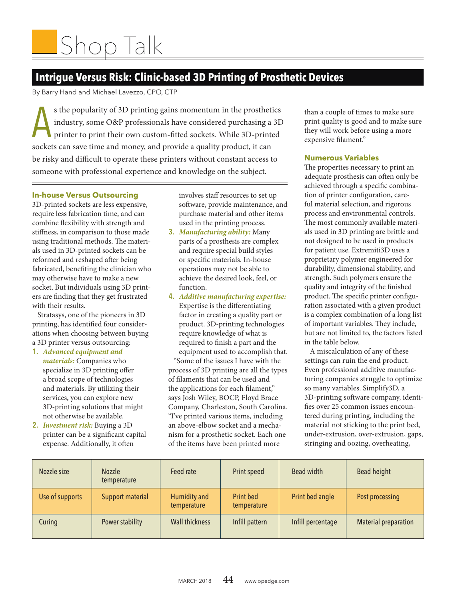# **Intrigue Versus Risk: Clinic-based 3D Printing of Prosthetic Devices**

By Barry Hand and Michael Lavezzo, CPO, CTP

s the popularity of 3D printing gains momentum in the prosthetic industry, some O&P professionals have considered purchasing a printer to print their own custom-fitted sockets. While 3D-prints sockets can save time and mon s the popularity of 3D printing gains momentum in the prosthetics industry, some O&P professionals have considered purchasing a 3D printer to print their own custom-ftted sockets. While 3D-printed be risky and difficult to operate these printers without constant access to someone with professional experience and knowledge on the subject.

## **In-house Versus Outsourcing**

3D-printed sockets are less expensive, require less fabrication time, and can combine fexibility with strength and stifness, in comparison to those made using traditional methods. The materials used in 3D-printed sockets can be reformed and reshaped after being fabricated, benefting the clinician who may otherwise have to make a new socket. But individuals using 3D printers are fnding that they get frustrated with their results.

Stratasys, one of the pioneers in 3D printing, has identifed four considerations when choosing between buying a 3D printer versus outsourcing:

**1.** *Advanced equipment and materials:* Companies who specialize in 3D printing offer a broad scope of technologies and materials. By utilizing their services, you can explore new 3D-printing solutions that might not otherwise be available.

**2.** *Investment risk:* Buying a 3D printer can be a signifcant capital expense. Additionally, it often

involves staff resources to set up sofware, provide maintenance, and purchase material and other items used in the printing process.

- **3.** *Manufacturing ability:* Many parts of a prosthesis are complex and require special build styles or specifc materials. In-house operations may not be able to achieve the desired look, feel, or function.
- **4.** *Additive manufacturing expertise:*  Expertise is the diferentiating factor in creating a quality part or product. 3D-printing technologies require knowledge of what is required to fnish a part and the equipment used to accomplish that.

"Some of the issues I have with the process of 3D printing are all the types of flaments that can be used and the applications for each flament," says Josh Wiley, BOCP, Floyd Brace Company, Charleston, South Carolina. "I've printed various items, including an above-elbow socket and a mechanism for a prosthetic socket. Each one of the items have been printed more

than a couple of times to make sure print quality is good and to make sure they will work before using a more expensive flament."

## **Numerous Variables**

The properties necessary to print an adequate prosthesis can often only be achieved through a specifc combination of printer confguration, careful material selection, and rigorous process and environmental controls. The most commonly available materials used in 3D printing are brittle and not designed to be used in products for patient use. Extremiti3D uses a proprietary polymer engineered for durability, dimensional stability, and strength. Such polymers ensure the quality and integrity of the fnished product. The specific printer configuration associated with a given product is a complex combination of a long list of important variables. They include, but are not limited to, the factors listed in the table below.

A miscalculation of any of these settings can ruin the end product. Even professional additive manufacturing companies struggle to optimize so many variables. Simplify3D, a 3D-printing sofware company, identifes over 25 common issues encountered during printing, including the material not sticking to the print bed, under-extrusion, over-extrusion, gaps, stringing and oozing, overheating,

| Nozzle size     | <b>Nozzle</b><br>temperature | Feed rate                   | Print speed                     | Bead width        | Bead height                 |
|-----------------|------------------------------|-----------------------------|---------------------------------|-------------------|-----------------------------|
| Use of supports | <b>Support material</b>      | Humidity and<br>temperature | <b>Print bed</b><br>temperature | Print bed angle   | Post processing             |
| Curing          | Power stability              | <b>Wall thickness</b>       | Infill pattern                  | Infill percentage | <b>Material preparation</b> |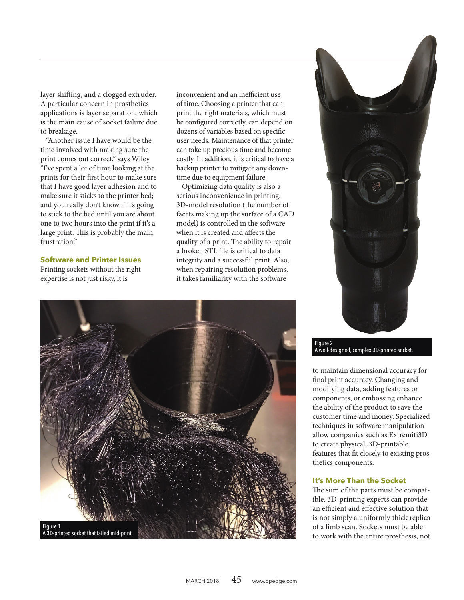layer shifing, and a clogged extruder. A particular concern in prosthetics applications is layer separation, which is the main cause of socket failure due to breakage.

"Another issue I have would be the time involved with making sure the print comes out correct," says Wiley. "I've spent a lot of time looking at the prints for their frst hour to make sure that I have good layer adhesion and to make sure it sticks to the printer bed; and you really don't know if it's going to stick to the bed until you are about one to two hours into the print if it's a large print. This is probably the main frustration."

#### **Software and Printer Issues**

Printing sockets without the right expertise is not just risky, it is

inconvenient and an inefficient use of time. Choosing a printer that can print the right materials, which must be confgured correctly, can depend on dozens of variables based on specifc user needs. Maintenance of that printer can take up precious time and become costly. In addition, it is critical to have a backup printer to mitigate any downtime due to equipment failure.

Optimizing data quality is also a serious inconvenience in printing. 3D-model resolution (the number of facets making up the surface of a CAD model) is controlled in the software when it is created and afects the quality of a print. The ability to repair a broken STL fle is critical to data integrity and a successful print. Also, when repairing resolution problems, it takes familiarity with the software





Figure 2 A well-designed, complex 3D-printed socket.

to maintain dimensional accuracy for fnal print accuracy. Changing and modifying data, adding features or components, or embossing enhance the ability of the product to save the customer time and money. Specialized techniques in software manipulation allow companies such as Extremiti3D to create physical, 3D-printable features that ft closely to existing prosthetics components.

#### **It's More Than the Socket**

The sum of the parts must be compatible. 3D-printing experts can provide an efficient and effective solution that is not simply a uniformly thick replica of a limb scan. Sockets must be able to work with the entire prosthesis, not